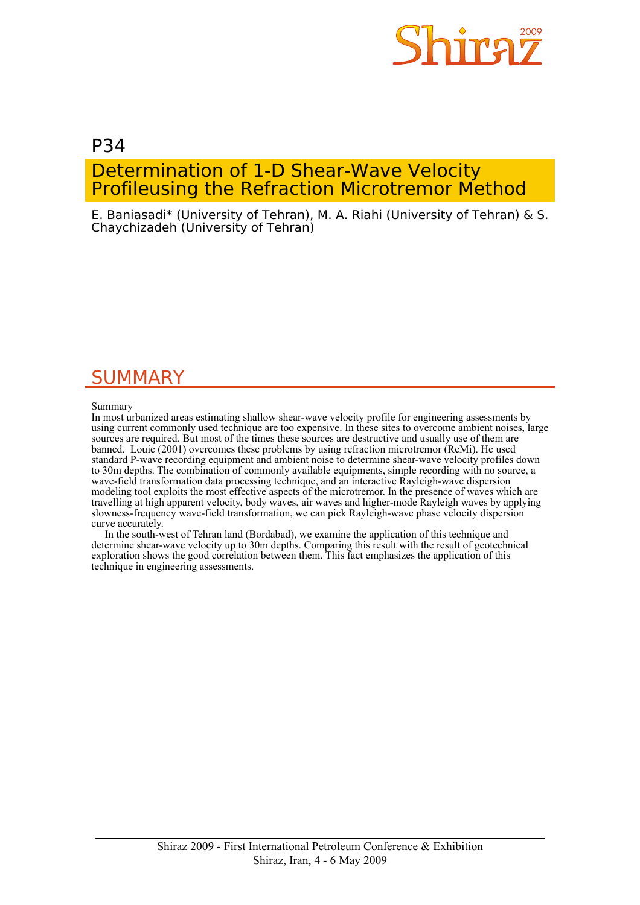

# P34 Determination of 1-D Shear-Wave Velocity Profileusing the Refraction Microtremor Method

E. Baniasadi\* (University of Tehran), M. A. Riahi (University of Tehran) & S. Chaychizadeh (University of Tehran)

# SUMMARY

Summary

In most urbanized areas estimating shallow shear-wave velocity profile for engineering assessments by using current commonly used technique are too expensive. In these sites to overcome ambient noises, large sources are required. But most of the times these sources are destructive and usually use of them are banned. Louie (2001) overcomes these problems by using refraction microtremor (ReMi). He used standard P-wave recording equipment and ambient noise to determine shear-wave velocity profiles down to 30m depths. The combination of commonly available equipments, simple recording with no source, a wave-field transformation data processing technique, and an interactive Rayleigh-wave dispersion modeling tool exploits the most effective aspects of the microtremor. In the presence of waves which are travelling at high apparent velocity, body waves, air waves and higher-mode Rayleigh waves by applying slowness-frequency wave-field transformation, we can pick Rayleigh-wave phase velocity dispersion curve accurately.

 In the south-west of Tehran land (Bordabad), we examine the application of this technique and determine shear-wave velocity up to 30m depths. Comparing this result with the result of geotechnical exploration shows the good correlation between them. This fact emphasizes the application of this technique in engineering assessments.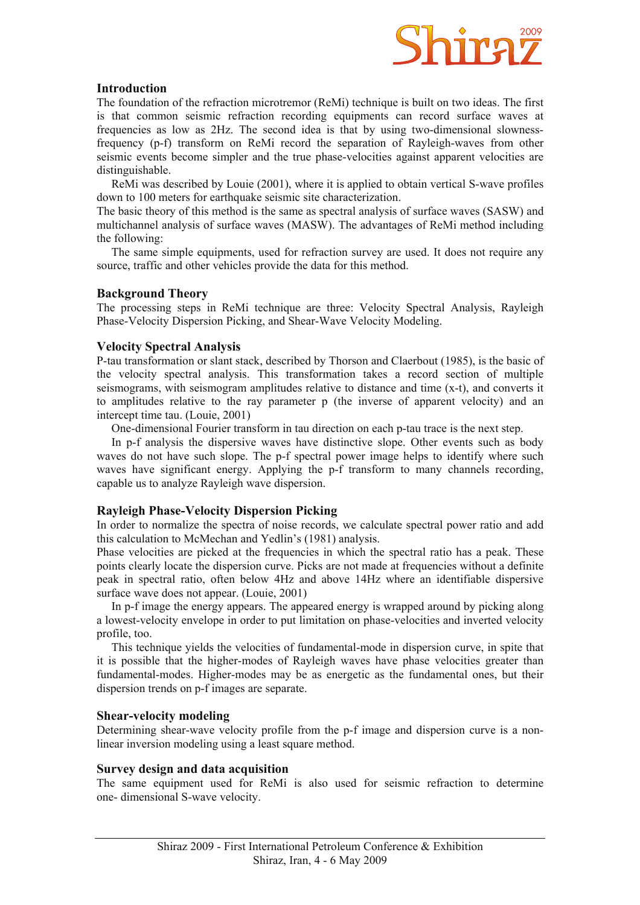

# **Introduction**

The foundation of the refraction microtremor (ReMi) technique is built on two ideas. The first is that common seismic refraction recording equipments can record surface waves at frequencies as low as 2Hz. The second idea is that by using two-dimensional slownessfrequency (p-f) transform on ReMi record the separation of Rayleigh-waves from other seismic events become simpler and the true phase-velocities against apparent velocities are distinguishable.

 ReMi was described by Louie (2001), where it is applied to obtain vertical S-wave profiles down to 100 meters for earthquake seismic site characterization.

The basic theory of this method is the same as spectral analysis of surface waves (SASW) and multichannel analysis of surface waves (MASW). The advantages of ReMi method including the following:

 The same simple equipments, used for refraction survey are used. It does not require any source, traffic and other vehicles provide the data for this method.

# **Background Theory**

The processing steps in ReMi technique are three: Velocity Spectral Analysis, Rayleigh Phase-Velocity Dispersion Picking, and Shear-Wave Velocity Modeling.

# **Velocity Spectral Analysis**

P-tau transformation or slant stack, described by Thorson and Claerbout (1985), is the basic of the velocity spectral analysis. This transformation takes a record section of multiple seismograms, with seismogram amplitudes relative to distance and time (x-t), and converts it to amplitudes relative to the ray parameter p (the inverse of apparent velocity) and an intercept time tau. (Louie, 2001)

One-dimensional Fourier transform in tau direction on each p-tau trace is the next step.

 In p-f analysis the dispersive waves have distinctive slope. Other events such as body waves do not have such slope. The p-f spectral power image helps to identify where such waves have significant energy. Applying the p-f transform to many channels recording, capable us to analyze Rayleigh wave dispersion.

# **Rayleigh Phase-Velocity Dispersion Picking**

In order to normalize the spectra of noise records, we calculate spectral power ratio and add this calculation to McMechan and Yedlin's (1981) analysis.

Phase velocities are picked at the frequencies in which the spectral ratio has a peak. These points clearly locate the dispersion curve. Picks are not made at frequencies without a definite peak in spectral ratio, often below 4Hz and above 14Hz where an identifiable dispersive surface wave does not appear. (Louie, 2001)

 In p-f image the energy appears. The appeared energy is wrapped around by picking along a lowest-velocity envelope in order to put limitation on phase-velocities and inverted velocity profile, too.

 This technique yields the velocities of fundamental-mode in dispersion curve, in spite that it is possible that the higher-modes of Rayleigh waves have phase velocities greater than fundamental-modes. Higher-modes may be as energetic as the fundamental ones, but their dispersion trends on p-f images are separate.

# **Shear-velocity modeling**

Determining shear-wave velocity profile from the p-f image and dispersion curve is a nonlinear inversion modeling using a least square method.

# **Survey design and data acquisition**

The same equipment used for ReMi is also used for seismic refraction to determine one- dimensional S-wave velocity.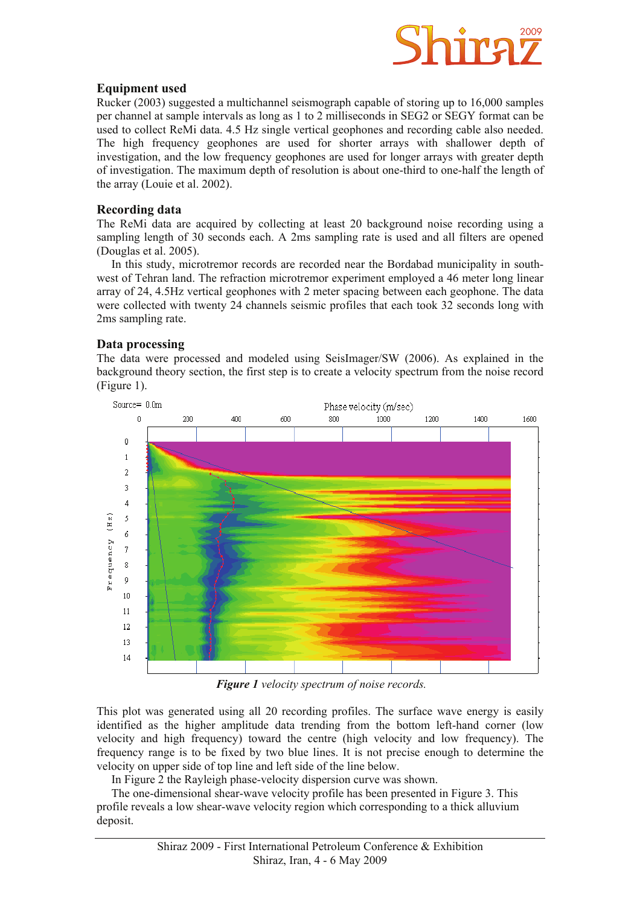

# **Equipment used**

Rucker (2003) suggested a multichannel seismograph capable of storing up to 16,000 samples per channel at sample intervals as long as 1 to 2 milliseconds in SEG2 or SEGY format can be used to collect ReMi data. 4.5 Hz single vertical geophones and recording cable also needed. The high frequency geophones are used for shorter arrays with shallower depth of investigation, and the low frequency geophones are used for longer arrays with greater depth of investigation. The maximum depth of resolution is about one-third to one-half the length of the array (Louie et al. 2002).

# **Recording data**

The ReMi data are acquired by collecting at least 20 background noise recording using a sampling length of 30 seconds each. A 2ms sampling rate is used and all filters are opened (Douglas et al. 2005).

 In this study, microtremor records are recorded near the Bordabad municipality in southwest of Tehran land. The refraction microtremor experiment employed a 46 meter long linear array of 24, 4.5Hz vertical geophones with 2 meter spacing between each geophone. The data were collected with twenty 24 channels seismic profiles that each took 32 seconds long with 2ms sampling rate.

# **Data processing**

The data were processed and modeled using SeisImager/SW (2006). As explained in the background theory section, the first step is to create a velocity spectrum from the noise record (Figure 1).



 *Figure 1 velocity spectrum of noise records.*

This plot was generated using all 20 recording profiles. The surface wave energy is easily identified as the higher amplitude data trending from the bottom left-hand corner (low velocity and high frequency) toward the centre (high velocity and low frequency). The frequency range is to be fixed by two blue lines. It is not precise enough to determine the velocity on upper side of top line and left side of the line below.

In Figure 2 the Rayleigh phase-velocity dispersion curve was shown.

 The one-dimensional shear-wave velocity profile has been presented in Figure 3. This profile reveals a low shear-wave velocity region which corresponding to a thick alluvium deposit.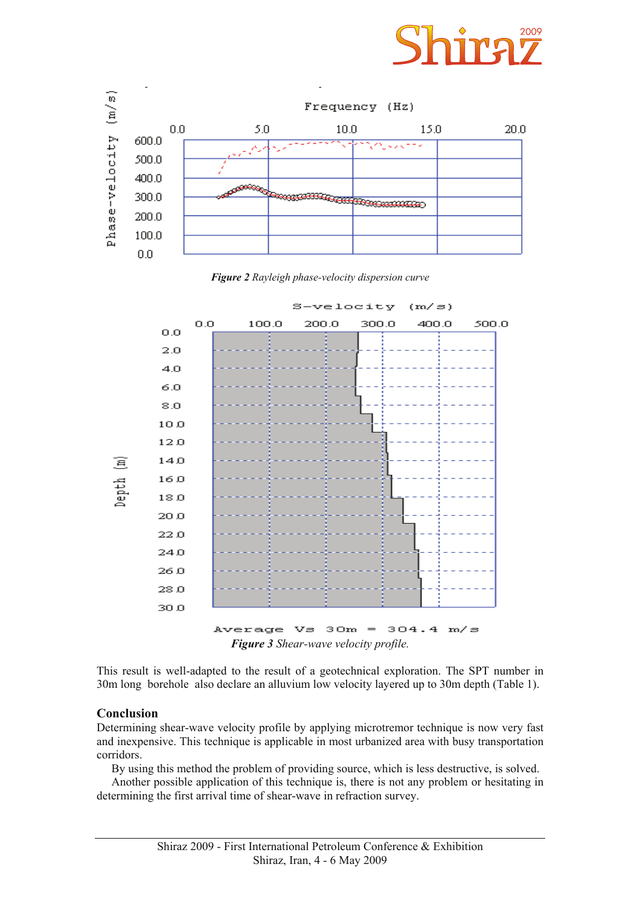

*Figure 2 Rayleigh phase-velocity dispersion curve* 



This result is well-adapted to the result of a geotechnical exploration. The SPT number in

30m long borehole also declare an alluvium low velocity layered up to 30m depth (Table 1).

# **Conclusion**

Determining shear-wave velocity profile by applying microtremor technique is now very fast and inexpensive. This technique is applicable in most urbanized area with busy transportation corridors.

By using this method the problem of providing source, which is less destructive, is solved.

 Another possible application of this technique is, there is not any problem or hesitating in determining the first arrival time of shear-wave in refraction survey.